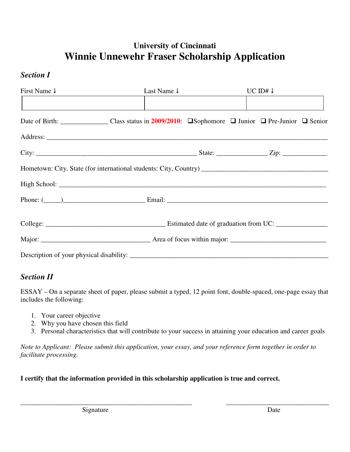# **University of Cincinnati Winnie Unnewehr Fraser Scholarship Application**

### *Section I*

| First Name $\downarrow$                                                                                                                    | Last Name $\downarrow$ |  | UC ID# $\downarrow$ |  |  |  |  |
|--------------------------------------------------------------------------------------------------------------------------------------------|------------------------|--|---------------------|--|--|--|--|
|                                                                                                                                            |                        |  |                     |  |  |  |  |
| Date of Birth: ______________________Class status in 2009/2010: $\square$ Sophomore $\square$ Junior $\square$ Pre-Junior $\square$ Senior |                        |  |                     |  |  |  |  |
|                                                                                                                                            |                        |  |                     |  |  |  |  |
|                                                                                                                                            |                        |  |                     |  |  |  |  |
|                                                                                                                                            |                        |  |                     |  |  |  |  |
|                                                                                                                                            |                        |  |                     |  |  |  |  |
|                                                                                                                                            |                        |  |                     |  |  |  |  |
|                                                                                                                                            |                        |  |                     |  |  |  |  |
|                                                                                                                                            |                        |  |                     |  |  |  |  |
|                                                                                                                                            |                        |  |                     |  |  |  |  |

## *Section II*

ESSAY – On a separate sheet of paper, please submit a typed, 12 point font, double-spaced, one-page essay that includes the following:

- 1. Your career objective
- 2. Why you have chosen this field
- 3. Personal characteristics that will contribute to your success in attaining your education and career goals

\_\_\_\_\_\_\_\_\_\_\_\_\_\_\_\_\_\_\_\_\_\_\_\_\_\_\_\_\_\_\_\_\_\_\_\_\_\_\_\_\_\_\_\_\_\_\_\_\_\_ \_\_\_\_\_\_\_\_\_\_\_\_\_\_\_\_\_\_\_\_\_\_\_\_\_\_\_\_\_\_

*Note to Applicant: Please submit this application, your essay, and your reference form together in order to facilitate processing.* 

#### **I certify that the information provided in this scholarship application is true and correct.**